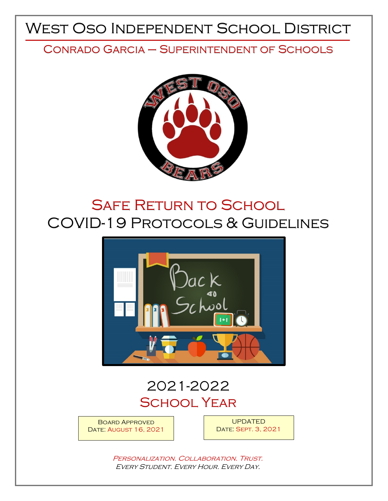# West Oso Independent School District

# Conrado Garcia – Superintendent of Schools



# **SAFE RETURN TO SCHOOL** COVID-19 Protocols & Guidelines



# 2021-2022 **SCHOOL YEAR**

Board Approved DATE: AUGUST 16, 2021

UPDATED Date: Sept. 3, 2021

PERSONALIZATION. COLLABORATION. TRUST. Every Student. Every Hour. Every Day.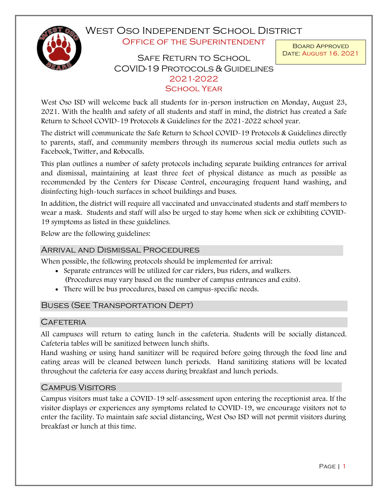West Oso Independent School District OFFICE OF THE SUPERINTENDENT

# SAFE RETURN TO SCHOOL COVID-19 Protocols & Guidelines 2021-2022 **SCHOOL YEAR**

 West Oso ISD will welcome back all students for in-person instruction on Monday, August 23, 2021. With the health and safety of all students and staff in mind, the district has created a Safe Return to School COVID-19 Protocols & Guidelines for the 2021-2022 school year.

 The district will communicate the Safe Return to School COVID-19 Protocols & Guidelines directly to parents, staff, and community members through its numerous social media outlets such as Facebook, Twitter, and Robocalls.

 This plan outlines a number of safety protocols including separate building entrances for arrival and dismissal, maintaining at least three feet of physical distance as much as possible as recommended by the Centers for Disease Control, encouraging frequent hand washing, and disinfecting high-touch surfaces in school buildings and buses.

 In addition, the district will require all vaccinated and unvaccinated students and staff members to wear a mask. Students and staff will also be urged to stay home when sick or exhibiting COVID-19 symptoms as listed in these guidelines.

Below are the following guidelines:

# Arrival and Dismissal Procedures

When possible, the following protocols should be implemented for arrival:

- Separate entrances will be utilized for car riders, bus riders, and walkers. (Procedures may vary based on the number of campus entrances and exits).
- There will be bus procedures, based on campus-specific needs.

# Buses (See Transportation Dept)

## **CAFETERIA**

All campuses will return to eating lunch in the cafeteria. Students will be socially distanced. Cafeteria tables will be sanitized between lunch shifts.

 Hand washing or using hand sanitizer will be required before going through the food line and eating areas will be cleaned between lunch periods. Hand sanitizing stations will be located throughout the cafeteria for easy access during breakfast and lunch periods.

# Campus Visitors

 enter the facility. To maintain safe social distancing, West Oso ISD will not permit visitors during Campus visitors must take a COVID-19 self-assessment upon entering the receptionist area. If the visitor displays or experiences any symptoms related to COVID-19, we encourage visitors not to breakfast or lunch at this time.

Board Approved Date: August 16, 2021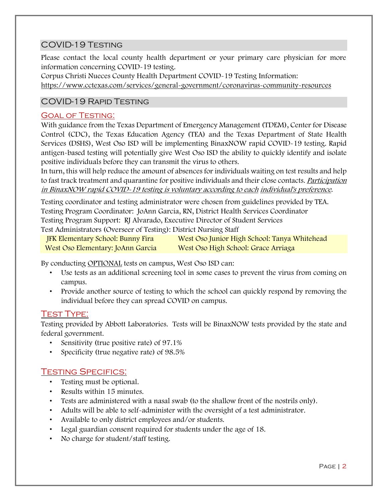# COVID-19 Testing

 Please contact the local county health department or your primary care physician for more information concerning COVID-19 testing.

Corpus Christi Nueces County Health Department COVID-19 Testing Information:

<https://www.cctexas.com/services/general-government/coronavirus-community-resources>

# COVID-19 Rapid Testing

# Goal of Testing:

 With guidance from the Texas Department of Emergency Management (TDEM), Center for Disease antigen-based testing will potentially give West Oso ISD the ability to quickly identify and isolate Control (CDC), the Texas Education Agency (TEA) and the Texas Department of State Health Services (DSHS), West Oso ISD will be implementing BinaxNOW rapid COVID-19 testing. Rapid positive individuals before they can transmit the virus to others.

to fast track treatment and quarantine for positive individuals and their close contacts. *Participation* In turn, this will help reduce the amount of absences for individuals waiting on test results and help in BinaxNOW rapid COVID-19 testing is voluntary according to each individual's preference.

 Testing coordinator and testing administrator were chosen from guidelines provided by TEA. Testing Program Coordinator: JoAnn Garcia, RN, District Health Services Coordinator Testing Program Support: RJ Alvarado, Executive Director of Student Services

Test Administrators (Overseer of Testing): District Nursing Staff<br>IFK Elementary School: Bunny Fira West Oso Junior High School: Tanya Whitehead West Oso Elementary: JoAnn Garcia West Oso High School: Grace Arriaga

By conducting OPTIONAL tests on campus, West Oso ISD can:

- • Use tests as an additional screening tool in some cases to prevent the virus from coming on campus.
- • Provide another source of testing to which the school can quickly respond by removing the individual before they can spread COVID on campus.

# TEST TYPE:

 Testing provided by Abbott Laboratories. Tests will be BinaxNOW tests provided by the state and federal government.

- Sensitivity (true positive rate) of 97.1%
- Specificity (true negative rate) of 98.5%

# Testing Specifics:

- Testing must be optional.
- Results within 15 minutes.
- Tests are administered with a nasal swab (to the shallow front of the nostrils only).
- Adults will be able to self-administer with the oversight of a test administrator.
- Available to only district employees and/or students.
- Legal guardian consent required for students under the age of 18.
- No charge for student/staff testing.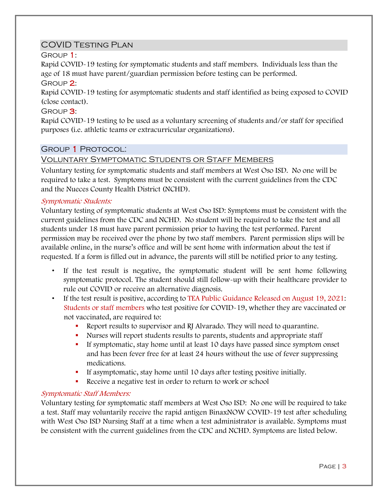# COVID Testing Plan

Group 1:

Rapid COVID-19 testing for symptomatic students and staff members. Individuals less than the age of 18 must have parent/guardian permission before testing can be performed.

# Group 2:

Rapid COVID-19 testing for asymptomatic students and staff identified as being exposed to COVID (close contact).

# GROUP<sup>3:</sup>

Rapid COVID-19 testing to be used as a voluntary screening of students and/or staff for specified purposes (i.e. athletic teams or extracurricular organizations).

# Group 1 Protocol:

# Voluntary Symptomatic Students or Staff Members

 Voluntary testing for symptomatic students and staff members at West Oso ISD. No one will be and the Nueces County Health District (NCHD). required to take a test. Symptoms must be consistent with the current guidelines from the CDC

## Symptomatic Students:

 Voluntary testing of symptomatic students at West Oso ISD: Symptoms must be consistent with the students under 18 must have parent permission prior to having the test performed. Parent permission may be received over the phone by two staff members. Parent permission slips will be current guidelines from the CDC and NCHD. No student will be required to take the test and all available online, in the nurse's office and will be sent home with information about the test if requested. If a form is filled out in advance, the parents will still be notified prior to any testing.

- If the test result is negative, the symptomatic student will be sent home following symptomatic protocol. The student should still follow-up with their healthcare provider to rule out COVID or receive an alternative diagnosis.
- Students or staff members who test positive for COVID-19, whether they are vaccinated or • If the test result is positive, according to TEA Public Guidance Released on August 19, 2021: not vaccinated, are required to:
	- Report results to supervisor and RJ Alvarado. They will need to quarantine.
	- Nurses will report students results to parents, students and appropriate staff
	- If symptomatic, stay home until at least 10 days have passed since symptom onset and has been fever free for at least 24 hours without the use of fever suppressing medications.
	- If asymptomatic, stay home until 10 days after testing positive initially.
	- Receive a negative test in order to return to work or school

## Symptomatic Staff Members:

 Voluntary testing for symptomatic staff members at West Oso ISD: No one will be required to take with West Oso ISD Nursing Staff at a time when a test administrator is available. Symptoms must be consistent with the current guidelines from the CDC and NCHD. Symptoms are listed below. a test. Staff may voluntarily receive the rapid antigen BinaxNOW COVID-19 test after scheduling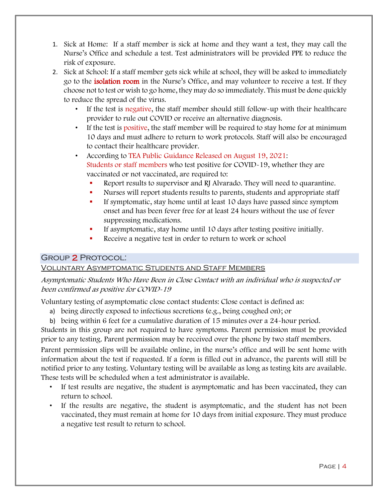- 1. Sick at Home: If a staff member is sick at home and they want a test, they may call the Nurse's Office and schedule a test. Test administrators will be provided PPE to reduce the risk of exposure.
- 2. Sick at School: If a staff member gets sick while at school, they will be asked to immediately choose not to test or wish to go home, they may do so immediately. This must be done quickly go to the isolation room in the Nurse's Office, and may volunteer to receive a test. If they to reduce the spread of the virus.
	- • If the test is negative, the staff member should still follow-up with their healthcare provider to rule out COVID or receive an alternative diagnosis.
	- If the test is positive, the staff member will be required to stay home for at minimum 10 days and must adhere to return to work protocols. Staff will also be encouraged to contact their healthcare provider.
	- Students or staff members who test positive for COVID-19, whether they are • According to TEA Public Guidance Released on August 19, 2021: vaccinated or not vaccinated, are required to:
		- Report results to supervisor and RJ Alvarado. They will need to quarantine.
		- Nurses will report students results to parents, students and appropriate staff
		- If symptomatic, stay home until at least 10 days have passed since symptom onset and has been fever free for at least 24 hours without the use of fever suppressing medications.
		- If asymptomatic, stay home until 10 days after testing positive initially.
		- Receive a negative test in order to return to work or school

# **GROUP 2 PROTOCOL:**

# Group **2** Protocol:<br><u>Voluntary Asymptomatic Students and Staff Members</u>

## been confirmed as positive for COVID-19 Asymptomatic Students Who Have Been in Close Contact with an individual who is suspected or

Voluntary testing of asymptomatic close contact students: Close contact is defined as:

- a) being directly exposed to infectious secretions (e.g., being coughed on); or
- b) being within 6 feet for a cumulative duration of 15 minutes over a 24-hour period.

Students in this group are not required to have symptoms. Parent permission must be provided prior to any testing. Parent permission may be received over the phone by two staff members.

 Parent permission slips will be available online, in the nurse's office and will be sent home with information about the test if requested. If a form is filled out in advance, the parents will still be notified prior to any testing. Voluntary testing will be available as long as testing kits are available. These tests will be scheduled when a test administrator is available.

- If test results are negative, the student is asymptomatic and has been vaccinated, they can return to school.
- If the results are negative, the student is asymptomatic, and the student has not been vaccinated, they must remain at home for 10 days from initial exposure. They must produce a negative test result to return to school.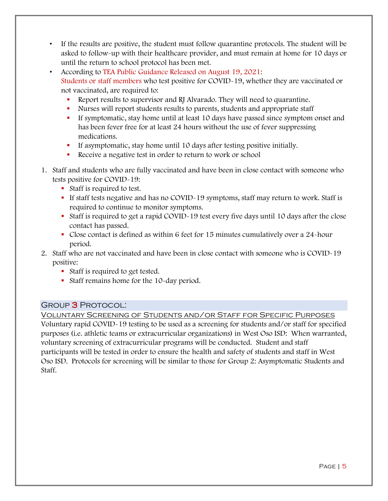- If the results are positive, the student must follow quarantine protocols. The student will be asked to follow-up with their healthcare provider, and must remain at home for 10 days or until the return to school protocol has been met.
- Students or staff members who test positive for COVID-19, whether they are vaccinated or • According to TEA Public Guidance Released on August 19, 2021: not vaccinated, are required to:
	- Report results to supervisor and RJ Alvarado. They will need to quarantine.
	- Nurses will report students results to parents, students and appropriate staff
	- If symptomatic, stay home until at least 10 days have passed since symptom onset and has been fever free for at least 24 hours without the use of fever suppressing medications.
	- If asymptomatic, stay home until 10 days after testing positive initially.
	- Receive a negative test in order to return to work or school
- 1. Staff and students who are fully vaccinated and have been in close contact with someone who tests positive for COVID-19:
	- Staff is required to test.
	- If staff tests negative and has no COVID-19 symptoms, staff may return to work. Staff is required to continue to monitor symptoms.
	- Staff is required to get a rapid COVID-19 test every five days until 10 days after the close contact has passed.
	- Close contact is defined as within 6 feet for 15 minutes cumulatively over a 24-hour period.
- 2. Staff who are not vaccinated and have been in close contact with someone who is COVID-19 positive:
	- Staff is required to get tested.
	- Staff remains home for the 10-day period.

## Group 3 Protocol:

#### Voluntary Screening of Students and/or Staff for Specific Purposes

 participants will be tested in order to ensure the health and safety of students and staff in West Voluntary rapid COVID-19 testing to be used as a screening for students and/or staff for specified purposes (i.e. athletic teams or extracurricular organizations) in West Oso ISD: When warranted, voluntary screening of extracurricular programs will be conducted. Student and staff Oso ISD. Protocols for screening will be similar to those for Group 2: Asymptomatic Students and Staff.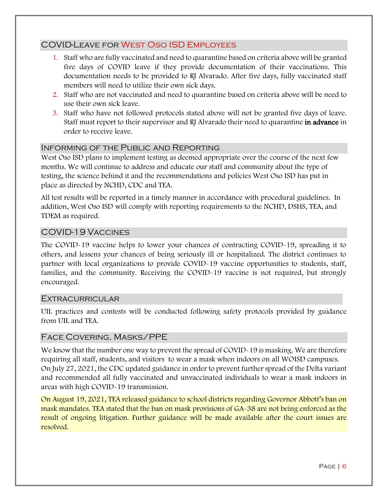# COVID-Leave for West Oso ISD Employees

- documentation needs to be provided to RJ Alvarado. After five days, fully vaccinated staff 1. Staff who are fully vaccinated and need to quarantine based on criteria above will be granted five days of COVID leave if they provide documentation of their vaccinations. This members will need to utilize their own sick days.
- 2. Staff who are not vaccinated and need to quarantine based on criteria above will be need to use their own sick leave.
- 3. Staff who have not followed protocols stated above will not be granted five days of leave. Staff must report to their supervisor and RJ Alvarado their need to quarantine in advance in order to receive leave.

## Informing of the Public and Reporting

 West Oso ISD plans to implement testing as deemed appropriate over the course of the next few testing, the science behind it and the recommendations and policies West Oso ISD has put in months. We will continue to address and educate our staff and community about the type of place as directed by NCHD, CDC and TEA.

All test results will be reported in a timely manner in accordance with procedural guidelines. In addition, West Oso ISD will comply with reporting requirements to the NCHD, DSHS, TEA, and TDEM as required.

# COVID-19 Vaccines

 others, and lessens your chances of being seriously ill or hospitalized. The district continues to families, and the community. Receiving the COVID-19 vaccine is not required, but strongly encouraged. The COVID-19 vaccine helps to lower your chances of contracting COVID-19, spreading it to partner with local organizations to provide COVID-19 vaccine opportunities to students, staff,

#### **EXTRACURRICULAR**

 from UIL and TEA. UIL practices and contests will be conducted following safety protocols provided by guidance

#### Face Covering, Masks/PPE

 On July 27, 2021, the CDC updated guidance in order to prevent further spread of the Delta variant areas with high COVID-19 transmission. We know that the number one way to prevent the spread of COVID-19 is masking. We are therefore requiring all staff, students, and visitors to wear a mask when indoors on all WOISD campuses. and recommended all fully vaccinated and unvaccinated individuals to wear a mask indoors in

areas with high COVID-19 transmission.<br><mark>On August 19, 2021, TEA released guidance to school districts regarding Governor Abbott's ban on</mark> mask mandates. TEA stated that the ban on mask provisions of GA-38 are not being enforced as the resolved. result of ongoing litigation. Further guidance will be made available after the court issues are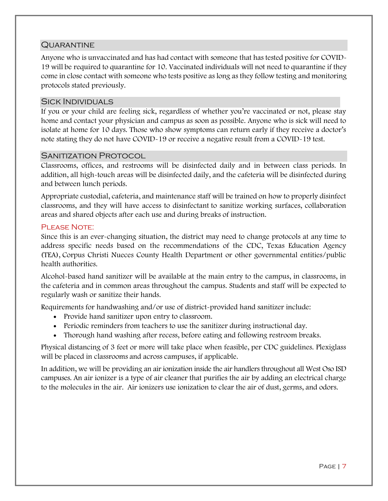## **QUARANTINE**

 Anyone who is unvaccinated and has had contact with someone that has tested positive for COVID- 19 will be required to quarantine for 10. Vaccinated individuals will not need to quarantine if they come in close contact with someone who tests positive as long as they follow testing and monitoring protocols stated previously.

# Sick Individuals

 If you or your child are feeling sick, regardless of whether you're vaccinated or not, please stay isolate at home for 10 days. Those who show symptoms can return early if they receive a doctor's home and contact your physician and campus as soon as possible. Anyone who is sick will need to note stating they do not have COVID-19 or receive a negative result from a COVID-19 test.

#### SANITIZATION PROTOCOL

 addition, all high-touch areas will be disinfected daily, and the cafeteria will be disinfected during and between lunch periods. Classrooms, offices, and restrooms will be disinfected daily and in between class periods. In

 areas and shared objects after each use and during breaks of instruction. Appropriate custodial, cafeteria, and maintenance staff will be trained on how to properly disinfect classrooms, and they will have access to disinfectant to sanitize working surfaces, collaboration

#### PLEASE NOTE:

 Since this is an ever-changing situation, the district may need to change protocols at any time to address specific needs based on the recommendations of the CDC, Texas Education Agency (TEA), Corpus Christi Nueces County Health Department or other governmental entities/public health authorities.

 Alcohol-based hand sanitizer will be available at the main entry to the campus, in classrooms, in regularly wash or sanitize their hands. the cafeteria and in common areas throughout the campus. Students and staff will be expected to

Requirements for handwashing and/or use of district-provided hand sanitizer include:

- Provide hand sanitizer upon entry to classroom.
- Periodic reminders from teachers to use the sanitizer during instructional day.
- Thorough hand washing after recess, before eating and following restroom breaks.

 Physical distancing of 3 feet or more will take place when feasible, per CDC guidelines. Plexiglass will be placed in classrooms and across campuses, if applicable.

 In addition, we will be providing an air ionization inside the air handlers throughout all West Oso ISD campuses. An air ionizer is a type of air cleaner that purifies the air by adding an electrical charge to the molecules in the air. [Air ionizers](https://breathebetterair.org/all-post/how-did-the-winix-plasmawave-slip-through-the-cracks-review/) use ionization to clear the air of dust, germs, and odors.